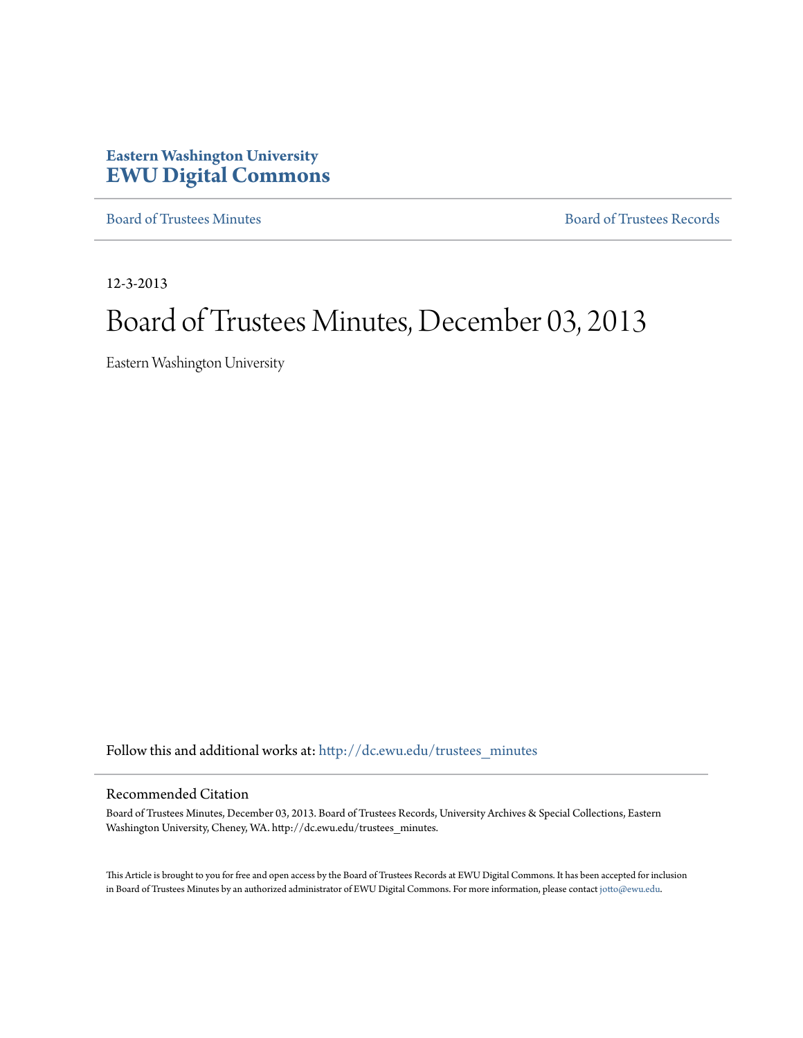# **Eastern Washington University [EWU Digital Commons](http://dc.ewu.edu?utm_source=dc.ewu.edu%2Ftrustees_minutes%2F596&utm_medium=PDF&utm_campaign=PDFCoverPages)**

[Board of Trustees Minutes](http://dc.ewu.edu/trustees_minutes?utm_source=dc.ewu.edu%2Ftrustees_minutes%2F596&utm_medium=PDF&utm_campaign=PDFCoverPages) [Board of Trustees Records](http://dc.ewu.edu/trustees?utm_source=dc.ewu.edu%2Ftrustees_minutes%2F596&utm_medium=PDF&utm_campaign=PDFCoverPages)

12-3-2013

# Board of Trustees Minutes, December 03, 2013

Eastern Washington University

Follow this and additional works at: [http://dc.ewu.edu/trustees\\_minutes](http://dc.ewu.edu/trustees_minutes?utm_source=dc.ewu.edu%2Ftrustees_minutes%2F596&utm_medium=PDF&utm_campaign=PDFCoverPages)

#### Recommended Citation

Board of Trustees Minutes, December 03, 2013. Board of Trustees Records, University Archives & Special Collections, Eastern Washington University, Cheney, WA. http://dc.ewu.edu/trustees\_minutes.

This Article is brought to you for free and open access by the Board of Trustees Records at EWU Digital Commons. It has been accepted for inclusion in Board of Trustees Minutes by an authorized administrator of EWU Digital Commons. For more information, please contact [jotto@ewu.edu.](mailto:jotto@ewu.edu)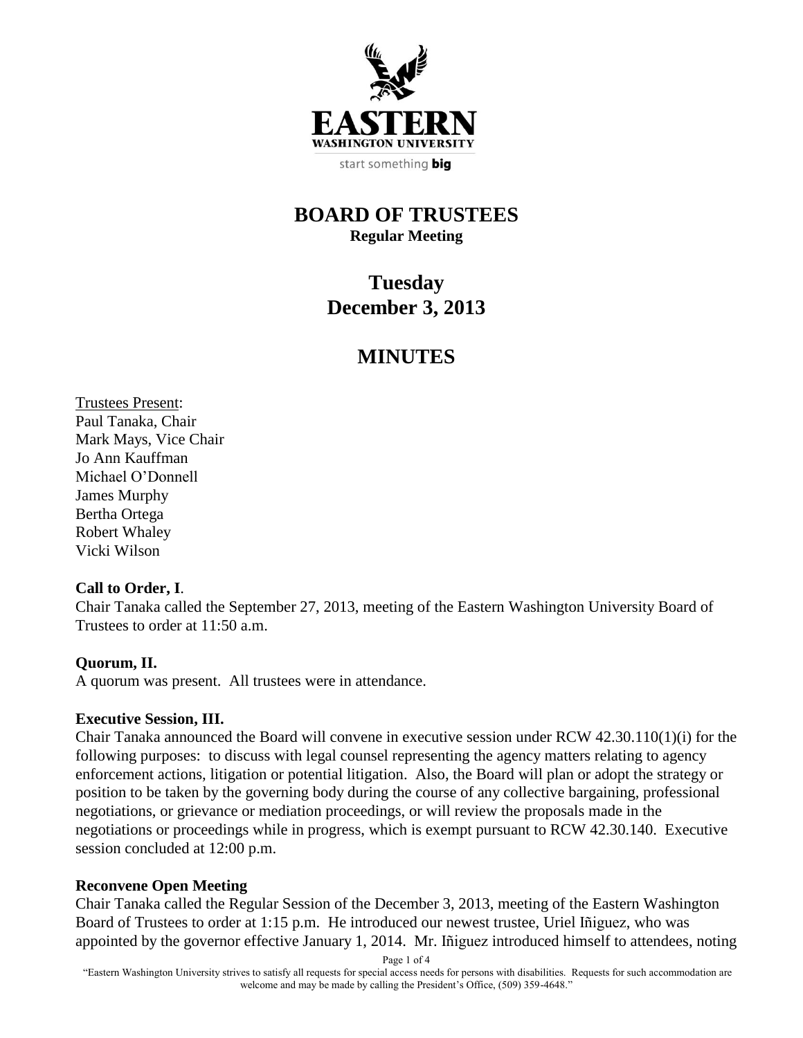

start something big

## **BOARD OF TRUSTEES Regular Meeting**

# **Tuesday December 3, 2013**

# **MINUTES**

Trustees Present: Paul Tanaka, Chair Mark Mays, Vice Chair Jo Ann Kauffman Michael O'Donnell James Murphy Bertha Ortega Robert Whaley Vicki Wilson

#### **Call to Order, I**.

Chair Tanaka called the September 27, 2013, meeting of the Eastern Washington University Board of Trustees to order at 11:50 a.m.

#### **Quorum, II.**

A quorum was present. All trustees were in attendance.

#### **Executive Session, III.**

Chair Tanaka announced the Board will convene in executive session under RCW 42.30.110(1)(i) for the following purposes: to discuss with legal counsel representing the agency matters relating to agency enforcement actions, litigation or potential litigation. Also, the Board will plan or adopt the strategy or position to be taken by the governing body during the course of any collective bargaining, professional negotiations, or grievance or mediation proceedings, or will review the proposals made in the negotiations or proceedings while in progress, which is exempt pursuant to RCW 42.30.140. Executive session concluded at 12:00 p.m.

#### **Reconvene Open Meeting**

Chair Tanaka called the Regular Session of the December 3, 2013, meeting of the Eastern Washington Board of Trustees to order at 1:15 p.m. He introduced our newest trustee, Uriel Iñiguez, who was appointed by the governor effective January 1, 2014. Mr. Iñiguez introduced himself to attendees, noting

Page 1 of 4

"Eastern Washington University strives to satisfy all requests for special access needs for persons with disabilities. Requests for such accommodation are welcome and may be made by calling the President's Office, (509) 359-4648."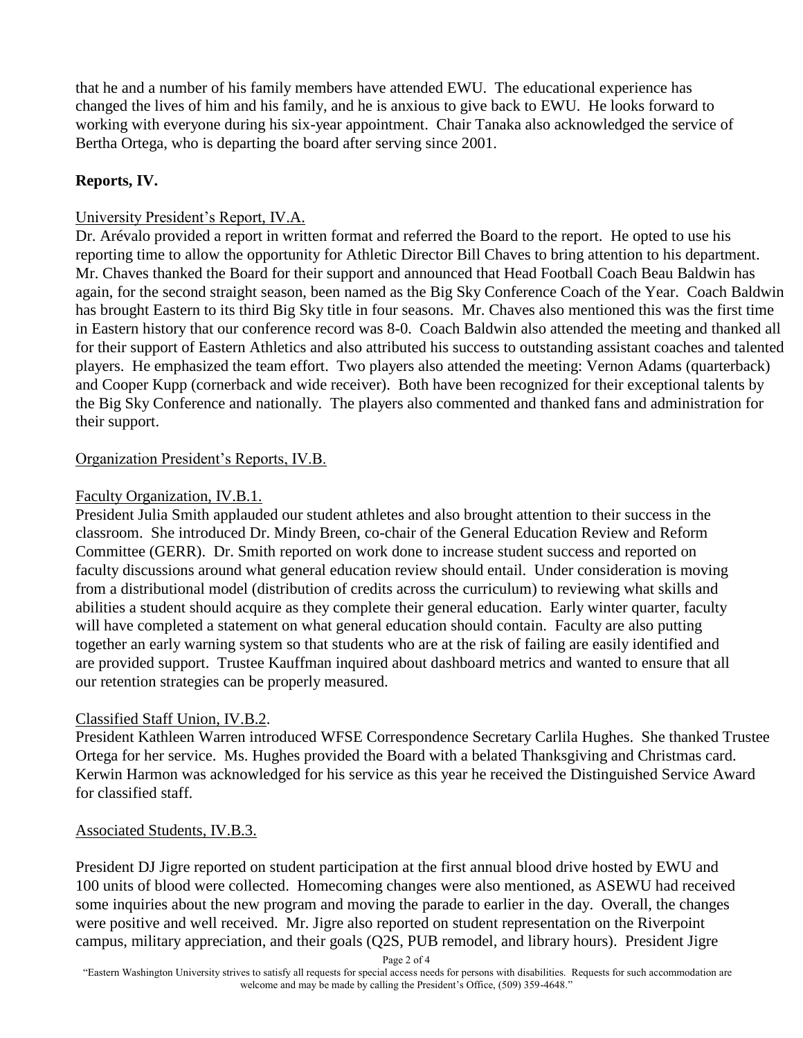that he and a number of his family members have attended EWU. The educational experience has changed the lives of him and his family, and he is anxious to give back to EWU. He looks forward to working with everyone during his six-year appointment. Chair Tanaka also acknowledged the service of Bertha Ortega, who is departing the board after serving since 2001.

#### **Reports, IV.**

## University President's Report, IV.A.

Dr. Arévalo provided a report in written format and referred the Board to the report. He opted to use his reporting time to allow the opportunity for Athletic Director Bill Chaves to bring attention to his department. Mr. Chaves thanked the Board for their support and announced that Head Football Coach Beau Baldwin has again, for the second straight season, been named as the Big Sky Conference Coach of the Year. Coach Baldwin has brought Eastern to its third Big Sky title in four seasons. Mr. Chaves also mentioned this was the first time in Eastern history that our conference record was 8-0. Coach Baldwin also attended the meeting and thanked all for their support of Eastern Athletics and also attributed his success to outstanding assistant coaches and talented players. He emphasized the team effort. Two players also attended the meeting: Vernon Adams (quarterback) and Cooper Kupp (cornerback and wide receiver). Both have been recognized for their exceptional talents by the Big Sky Conference and nationally. The players also commented and thanked fans and administration for their support.

## Organization President's Reports, IV.B.

#### Faculty Organization, IV.B.1.

President Julia Smith applauded our student athletes and also brought attention to their success in the classroom. She introduced Dr. Mindy Breen, co-chair of the General Education Review and Reform Committee (GERR). Dr. Smith reported on work done to increase student success and reported on faculty discussions around what general education review should entail. Under consideration is moving from a distributional model (distribution of credits across the curriculum) to reviewing what skills and abilities a student should acquire as they complete their general education. Early winter quarter, faculty will have completed a statement on what general education should contain. Faculty are also putting together an early warning system so that students who are at the risk of failing are easily identified and are provided support. Trustee Kauffman inquired about dashboard metrics and wanted to ensure that all our retention strategies can be properly measured.

#### Classified Staff Union, IV.B.2.

President Kathleen Warren introduced WFSE Correspondence Secretary Carlila Hughes. She thanked Trustee Ortega for her service. Ms. Hughes provided the Board with a belated Thanksgiving and Christmas card. Kerwin Harmon was acknowledged for his service as this year he received the Distinguished Service Award for classified staff.

#### Associated Students, IV.B.3.

President DJ Jigre reported on student participation at the first annual blood drive hosted by EWU and 100 units of blood were collected. Homecoming changes were also mentioned, as ASEWU had received some inquiries about the new program and moving the parade to earlier in the day. Overall, the changes were positive and well received. Mr. Jigre also reported on student representation on the Riverpoint campus, military appreciation, and their goals (Q2S, PUB remodel, and library hours). President Jigre

Page 2 of 4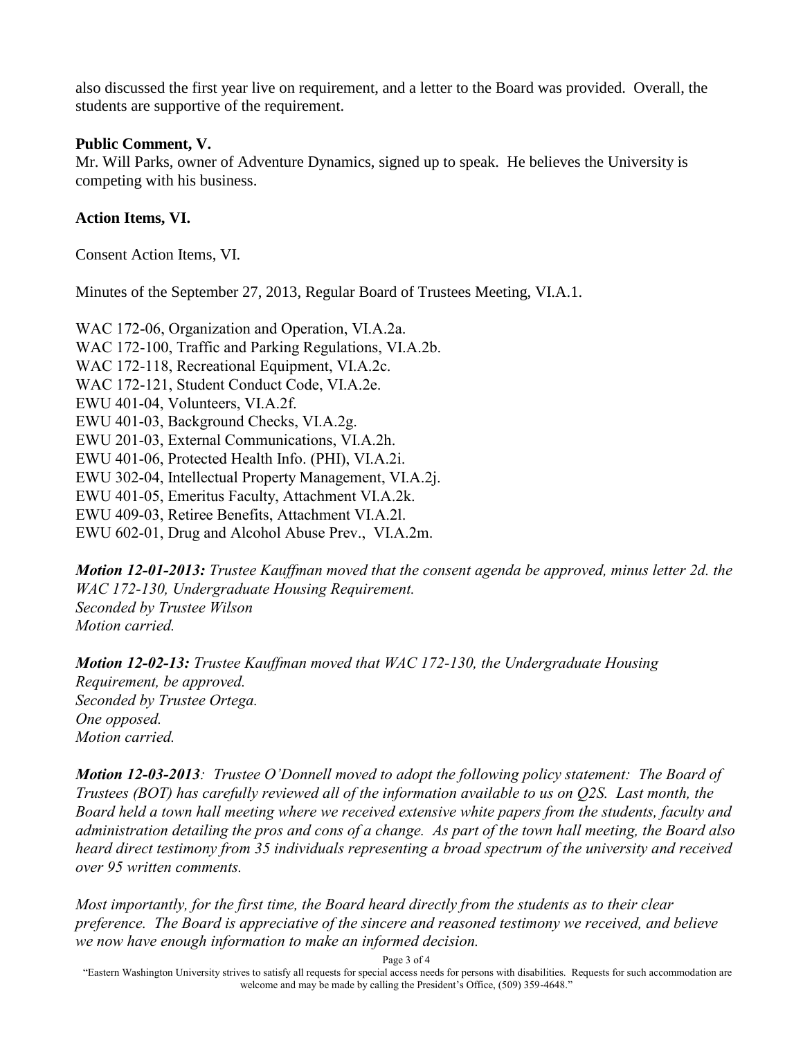also discussed the first year live on requirement, and a letter to the Board was provided. Overall, the students are supportive of the requirement.

#### **Public Comment, V.**

Mr. Will Parks, owner of Adventure Dynamics, signed up to speak. He believes the University is competing with his business.

#### **Action Items, VI.**

Consent Action Items, VI.

Minutes of the September 27, 2013, Regular Board of Trustees Meeting, VI.A.1.

WAC 172-06, Organization and Operation, VI.A.2a. WAC 172-100, Traffic and Parking Regulations, VI.A.2b. WAC 172-118, Recreational Equipment, VI.A.2c. WAC 172-121, Student Conduct Code, VI.A.2e. EWU 401-04, Volunteers, VI.A.2f. EWU 401-03, Background Checks, VI.A.2g. EWU 201-03, External Communications, VI.A.2h. EWU 401-06, Protected Health Info. (PHI), VI.A.2i. EWU 302-04, Intellectual Property Management, VI.A.2j. EWU 401-05, Emeritus Faculty, Attachment VI.A.2k. EWU 409-03, Retiree Benefits, Attachment VI.A.2l. EWU 602-01, Drug and Alcohol Abuse Prev., VI.A.2m.

*Motion 12-01-2013: Trustee Kauffman moved that the consent agenda be approved, minus letter 2d. the WAC 172-130, Undergraduate Housing Requirement. Seconded by Trustee Wilson Motion carried.*

*Motion 12-02-13: Trustee Kauffman moved that WAC 172-130, the Undergraduate Housing Requirement, be approved. Seconded by Trustee Ortega. One opposed. Motion carried.*

*Motion 12-03-2013: Trustee O'Donnell moved to adopt the following policy statement: The Board of Trustees (BOT) has carefully reviewed all of the information available to us on Q2S. Last month, the Board held a town hall meeting where we received extensive white papers from the students, faculty and administration detailing the pros and cons of a change. As part of the town hall meeting, the Board also heard direct testimony from 35 individuals representing a broad spectrum of the university and received over 95 written comments.*

*Most importantly, for the first time, the Board heard directly from the students as to their clear preference. The Board is appreciative of the sincere and reasoned testimony we received, and believe we now have enough information to make an informed decision.*

Page 3 of 4

"Eastern Washington University strives to satisfy all requests for special access needs for persons with disabilities. Requests for such accommodation are welcome and may be made by calling the President's Office, (509) 359-4648."